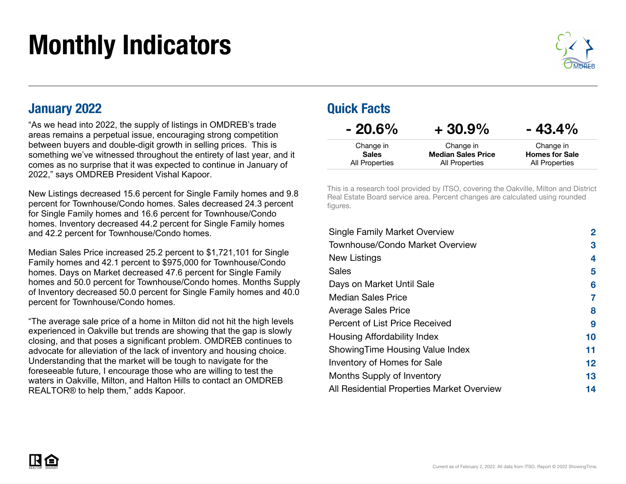# Monthly Indicators



#### January 2022

"As we head into 2022, the supply of listings in OMDREB's trade areas remains a perpetual issue, encouraging strong competition between buyers and double-digit growth in selling prices. This is something we've witnessed throughout the entirety of last year, and it comes as no surprise that it was expected to continue in January of 2022," says OMDREB President Vishal Kapoor.

New Listings decreased 15.6 percent for Single Family homes and 9.8 percent for Townhouse/Condo homes. Sales decreased 24.3 percent for Single Family homes and 16.6 percent for Townhouse/Condo homes. Inventory decreased 44.2 percent for Single Family homes and 42.2 percent for Townhouse/Condo homes.

Median Sales Price increased 25.2 percent to \$1,721,101 for Single Family homes and 42.1 percent to \$975,000 for Townhouse/Condo homes. Days on Market decreased 47.6 percent for Single Family homes and 50.0 percent for Townhouse/Condo homes. Months Supply of Inventory decreased 50.0 percent for Single Family homes and 40.0 percent for Townhouse/Condo homes.

"The average sale price of a home in Milton did not hit the high levels experienced in Oakville but trends are showing that the gap is slowly closing, and that poses a significant problem. OMDREB continues to advocate for alleviation of the lack of inventory and housing choice. Understanding that the market will be tough to navigate for the foreseeable future, I encourage those who are willing to test the waters in Oakville, Milton, and Halton Hills to contact an OMDREB REALTOR® to help them," adds Kapoor.

#### Quick Facts

| $-20.6\%$      | $+30.9%$                  | $-43.4%$              |
|----------------|---------------------------|-----------------------|
| Change in      | Change in                 | Change in             |
| <b>Sales</b>   | <b>Median Sales Price</b> | <b>Homes for Sale</b> |
| All Properties | All Properties            | All Properties        |

This is a research tool provided by ITSO, covering the Oakville, Milton and District Real Estate Board service area. Percent changes are calculated using rounded figures.

| <b>Single Family Market Overview</b>       | $\mathbf{2}$    |
|--------------------------------------------|-----------------|
| Townhouse/Condo Market Overview            | 3               |
| New Listings                               | 4               |
| Sales                                      | 5               |
| Days on Market Until Sale                  | 6               |
| <b>Median Sales Price</b>                  | 7               |
| <b>Average Sales Price</b>                 | 8               |
| Percent of List Price Received             | 9               |
| Housing Affordability Index                | 10              |
| Showing Time Housing Value Index           | 11              |
| Inventory of Homes for Sale                | 12 <sub>2</sub> |
| Months Supply of Inventory                 | 13              |
| All Residential Properties Market Overview | 14              |

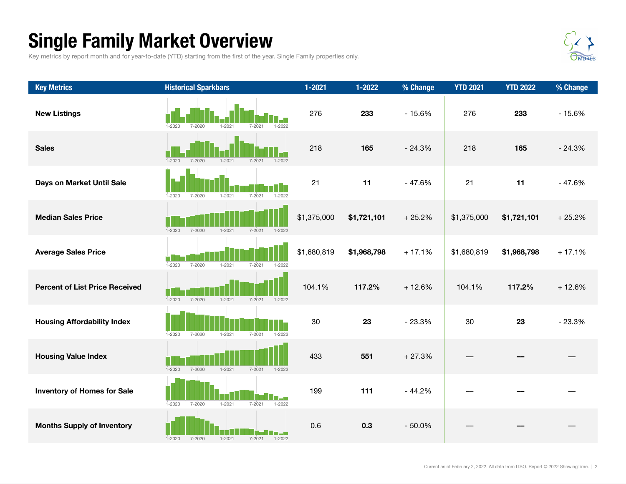## Single Family Market Overview

Key metrics by report month and for year-to-date (YTD) starting from the first of the year. Single Family properties only.



| <b>Key Metrics</b>                    | <b>Historical Sparkbars</b>                                        | $1 - 2021$  | $1 - 2022$  | % Change | <b>YTD 2021</b> | <b>YTD 2022</b> | % Change |
|---------------------------------------|--------------------------------------------------------------------|-------------|-------------|----------|-----------------|-----------------|----------|
| <b>New Listings</b>                   | $1 - 2020$<br>$7 - 2020$<br>$1 - 2021$<br>$1 - 2022$<br>$7 - 2021$ | 276         | 233         | $-15.6%$ | 276             | 233             | $-15.6%$ |
| <b>Sales</b>                          | $1 - 2020$<br>$7 - 2020$<br>$1 - 2021$<br>$7 - 2021$<br>$1 - 2022$ | 218         | 165         | $-24.3%$ | 218             | 165             | $-24.3%$ |
| Days on Market Until Sale             | $1 - 2020$<br>$7 - 2020$<br>$1 - 2021$<br>$7 - 2021$<br>$1 - 2022$ | 21          | 11          | $-47.6%$ | 21              | 11              | $-47.6%$ |
| <b>Median Sales Price</b>             | $1 - 2020$<br>$7 - 2020$<br>$1 - 2021$<br>$7 - 2021$<br>$1 - 2022$ | \$1,375,000 | \$1,721,101 | $+25.2%$ | \$1,375,000     | \$1,721,101     | $+25.2%$ |
| <b>Average Sales Price</b>            | $1 - 2021$<br>7-2021<br>$1 - 2020$<br>7-2020<br>$1 - 2022$         | \$1,680,819 | \$1,968,798 | $+17.1%$ | \$1,680,819     | \$1,968,798     | $+17.1%$ |
| <b>Percent of List Price Received</b> | $7 - 2020$<br>$1 - 2020$<br>$1 - 2021$<br>7-2021<br>$1 - 2022$     | 104.1%      | 117.2%      | $+12.6%$ | 104.1%          | 117.2%          | $+12.6%$ |
| <b>Housing Affordability Index</b>    | $1 - 2020$<br>7-2020<br>$1 - 2021$<br>$7 - 2021$<br>$1 - 2022$     | 30          | 23          | $-23.3%$ | 30              | 23              | $-23.3%$ |
| <b>Housing Value Index</b>            | $7 - 2020$<br>$1 - 2020$<br>$1 - 2021$<br>$7 - 2021$<br>$1 - 2022$ | 433         | 551         | $+27.3%$ |                 |                 |          |
| <b>Inventory of Homes for Sale</b>    | $1 - 2020$<br>$7 - 2020$<br>$1 - 2021$<br>$7 - 2021$<br>$1 - 2022$ | 199         | 111         | $-44.2%$ |                 |                 |          |
| <b>Months Supply of Inventory</b>     | $7 - 2021$<br>$1 - 2020$<br>$7 - 2020$<br>$1 - 2021$<br>$1 - 2022$ | 0.6         | 0.3         | $-50.0%$ |                 |                 |          |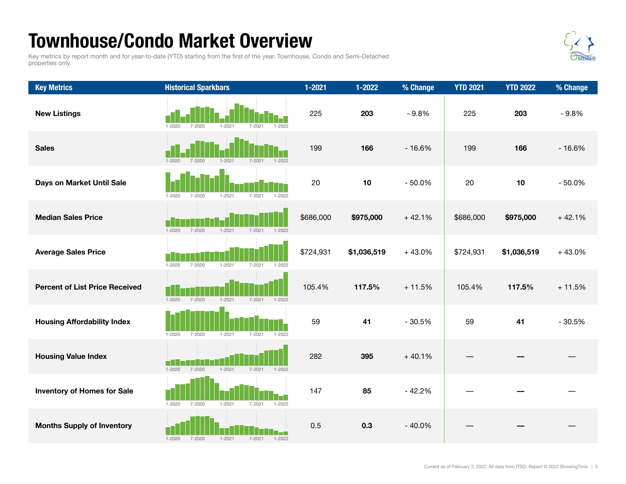### Townhouse/Condo Market Overview

Key metrics by report month and for year-to-date (YTD) starting from the first of the year. Townhouse, Condo and Semi-Detached properties only.



| <b>Key Metrics</b>                    | <b>Historical Sparkbars</b>                                        | $1 - 2021$ | $1 - 2022$  | % Change | <b>YTD 2021</b> | <b>YTD 2022</b> | % Change |
|---------------------------------------|--------------------------------------------------------------------|------------|-------------|----------|-----------------|-----------------|----------|
| <b>New Listings</b>                   | $7 - 2020$<br>$1 - 2021$<br>$1 - 2020$<br>$7 - 2021$<br>$1 - 2022$ | 225        | 203         | $-9.8%$  | 225             | 203             | $-9.8%$  |
| <b>Sales</b>                          | $1 - 2020$<br>$7 - 2020$<br>$1 - 2021$<br>$7 - 2021$<br>$1 - 2022$ | 199        | 166         | $-16.6%$ | 199             | 166             | $-16.6%$ |
| Days on Market Until Sale             | $1 - 2021$<br>$7 - 2021$<br>$1 - 2022$<br>1-2020<br>7-2020         | 20         | 10          | $-50.0%$ | 20              | 10              | $-50.0%$ |
| <b>Median Sales Price</b>             | $1 - 2020$<br>$1 - 2021$<br>$7 - 2021$<br>$7 - 2020$<br>$1 - 2022$ | \$686,000  | \$975,000   | $+42.1%$ | \$686,000       | \$975,000       | $+42.1%$ |
| <b>Average Sales Price</b>            | $7 - 2020$<br>$1 - 2021$<br>$1 - 2020$<br>$7 - 2021$<br>$1 - 2022$ | \$724,931  | \$1,036,519 | $+43.0%$ | \$724,931       | \$1,036,519     | $+43.0%$ |
| <b>Percent of List Price Received</b> | $1 - 2020$<br>$7 - 2020$<br>$1 - 2021$<br>$7 - 2021$<br>$1 - 2022$ | 105.4%     | 117.5%      | $+11.5%$ | 105.4%          | 117.5%          | $+11.5%$ |
| <b>Housing Affordability Index</b>    | $1 - 2021$<br>$1 - 2020$<br>$7 - 2020$<br>$7 - 2021$<br>$1 - 2022$ | 59         | 41          | $-30.5%$ | 59              | 41              | $-30.5%$ |
| <b>Housing Value Index</b>            | $1 - 2020$<br>$7 - 2020$<br>$1 - 2021$<br>$7 - 2021$<br>$1 - 2022$ | 282        | 395         | $+40.1%$ |                 |                 |          |
| <b>Inventory of Homes for Sale</b>    | $1 - 2020$<br>$7 - 2020$<br>$1 - 2021$<br>$7 - 2021$<br>$1 - 2022$ | 147        | 85          | $-42.2%$ |                 |                 |          |
| <b>Months Supply of Inventory</b>     | $1 - 2022$<br>$1 - 2020$<br>$7 - 2020$<br>$1 - 2021$<br>$7 - 2021$ | 0.5        | 0.3         | $-40.0%$ |                 |                 |          |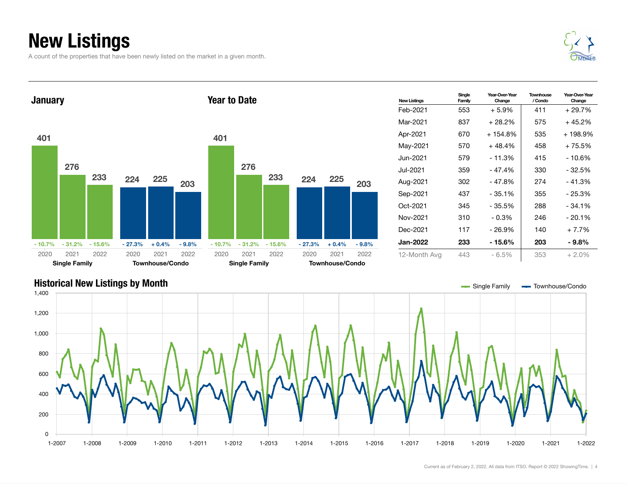## New Listings

A count of the properties that have been newly listed on the market in a given month.





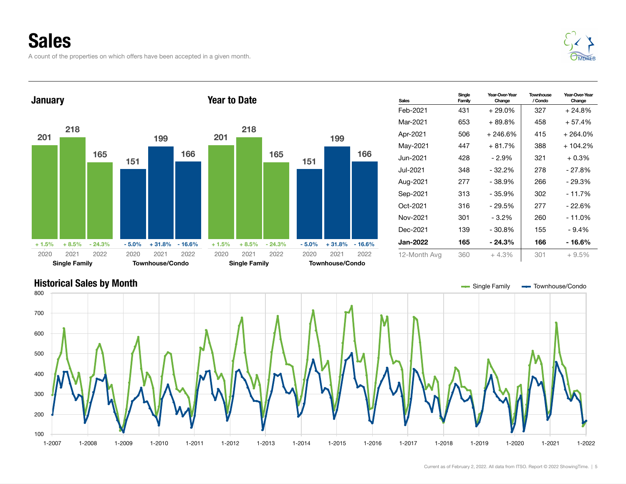A count of the properties on which offers have been accepted in a given month.





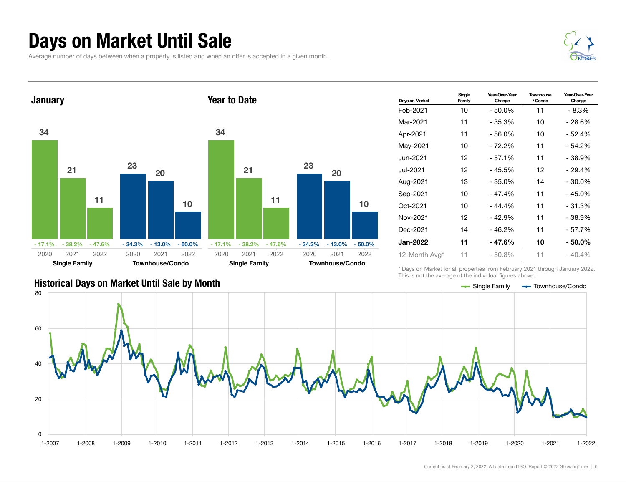#### Days on Market Until Sale

Average number of days between when a property is listed and when an offer is accepted in a given month.





| Days on Market  | Single<br>Family | Year-Over-Year<br>Change | Townhouse<br>/ Condo | Year-Over-Year<br>Change |
|-----------------|------------------|--------------------------|----------------------|--------------------------|
| Feb-2021        | 10               | - 50.0%                  | 11                   | - 8.3%                   |
| Mar-2021        | 11               | - 35.3%                  | 10                   | - 28.6%                  |
| Apr-2021        | 11               | $-56.0%$                 | 10                   | - 52.4%                  |
| May-2021        | 10               | - 72.2%                  | 11                   | - 54.2%                  |
| Jun-2021.       | 12               | $-57.1%$                 | 11                   | - 38.9%                  |
| Jul-2021        | 12               | $-45.5%$                 | 12                   | - 29.4%                  |
| Aug-2021        | 13               | - 35.0%                  | 14                   | - 30.0%                  |
| Sep-2021        | 10               | $-47.4%$                 | 11                   | - 45.0%                  |
| Oct-2021        | 10               | $-44.4%$                 | 11                   | $-31.3%$                 |
| Nov-2021        | 12               | $-42.9%$                 | 11                   | - 38.9%                  |
| Dec-2021        | 14               | $-46.2%$                 | 11                   | - 57.7%                  |
| <b>Jan-2022</b> | 11               | - 47.6%                  | 10                   | - 50.0%                  |
| 12-Month Avg*   | 11               | $-50.8%$                 | 11                   | $-40.4%$                 |

\* Days on Market for all properties from February 2021 through January 2022. This is not the average of the individual figures above.

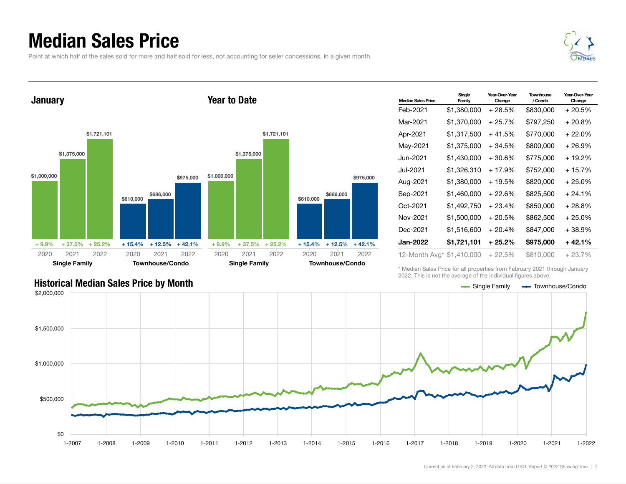#### Median Sales Price

Point at which half of the sales sold for more and half sold for less, not accounting for seller concessions, in a given month.





| <b>Median Sales Price</b> | Single<br>Family | Year-Over-Year<br>Change | <b>Townhouse</b><br>/ Condo | Year-Over-Year<br>Change |
|---------------------------|------------------|--------------------------|-----------------------------|--------------------------|
| Feb-2021                  | \$1,380,000      | + 28.5%                  | \$830,000                   | + 20.5%                  |
| Mar-2021                  | \$1,370,000      | + 25.7%                  | \$797,250                   | + 20.8%                  |
| Apr-2021                  | \$1,317,500      | $+41.5%$                 | \$770,000                   | $+22.0\%$                |
| May-2021                  | \$1,375,000      | + 34.5%                  | \$800,000                   | + 26.9%                  |
| Jun-2021                  | \$1,430,000      | +30.6%                   | \$775,000                   | + 19.2%                  |
| Jul-2021                  | \$1,326,310      | $+17.9%$                 | \$752,000                   | + 15.7%                  |
| Aug-2021                  | \$1,380,000      | + 19.5%                  | \$820,000                   | $+25.0%$                 |
| Sep-2021                  | \$1,460,000      | + 22.6%                  | \$825,500                   | $+24.1%$                 |
| Oct-2021                  | \$1,492,750      | $+23.4%$                 | \$850,000                   | + 28.8%                  |
| Nov-2021                  | \$1,500,000      | $+20.5%$                 | \$862,500                   | $+25.0\%$                |
| Dec-2021                  | \$1,516,600      | $+20.4%$                 | \$847,000                   | + 38.9%                  |
| <b>Jan-2022</b>           | \$1,721,101      | $+25.2\%$                | \$975,000                   | + 42.1%                  |
| 12-Month Avg* \$1,410,000 |                  | $+22.5%$                 | \$810,000                   | $+23.7%$                 |

\* Median Sales Price for all properties from February 2021 through January 2022. This is not the average of the individual figures above.



#### Historical Median Sales Price by Month Single Family Townhouse/Condo Condo Condo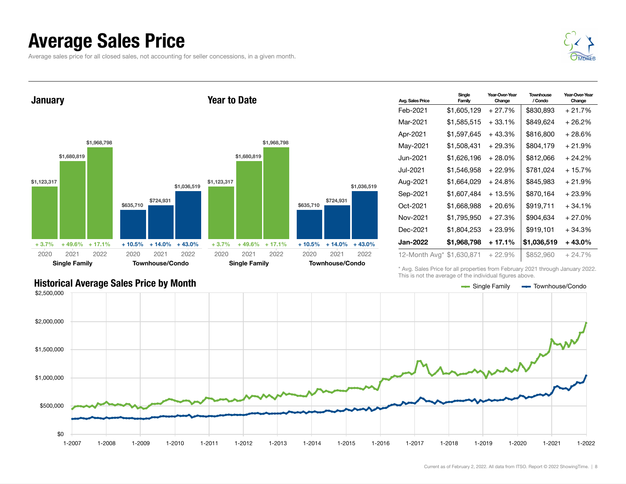### Average Sales Price

Average sales price for all closed sales, not accounting for seller concessions, in a given month.



**January** \$1,123,317 \$1,680,819 \$1,968,798  $+3.7\%$  + 49.6% + 17.1% \$635,710 \$724,931 \$1,036,519 + 10.5% + 14.0% + 43.0% 2020 Single Family 2021 2022 2020 Townhouse/Condo 2021 2022 Year to Date \$1,123,317 \$1,680,819 \$1,968,798  $+3.7\%$   $+49.6\%$   $+17.1\%$ \$635,710 \$724,931 \$1,036,519 + 10.5% + 14.0% + 43.0% 2020 Single Family 2021 2022 2020 Townhouse/Condo 2021 2022

| Avg. Sales Price          | Single<br>Family | Year-Over-Year<br>Change | Townhouse<br>/ Condo | Year-Over-Year<br>Change |
|---------------------------|------------------|--------------------------|----------------------|--------------------------|
| Feb-2021                  | \$1,605,129      | $+27.7%$                 | \$830,893            | $+21.7%$                 |
| Mar-2021                  | \$1,585,515      | $+33.1%$                 | \$849,624            | + 26.2%                  |
| Apr-2021                  | \$1,597,645      | $+43.3%$                 | \$816,800            | + 28.6%                  |
| May-2021                  | \$1,508,431      | $+29.3%$                 | \$804,179            | + 21.9%                  |
| Jun-2021                  | \$1,626,196      | + 28.0%                  | \$812,066            | + 24.2%                  |
| Jul-2021                  | \$1,546,958      | $+22.9%$                 | \$781,024            | $+15.7%$                 |
| Aug-2021                  | \$1,664,029      | + 24.8%                  | \$845,983            | + 21.9%                  |
| Sep-2021                  | \$1,607,484      | + 13.5%                  | \$870,164            | + 23.9%                  |
| Oct-2021                  | \$1,668,988      | $+20.6%$                 | \$919,711            | $+34.1%$                 |
| Nov-2021                  | \$1,795,950      | + 27.3%                  | \$904,634            | + 27.0%                  |
| Dec-2021                  | \$1,804,253      | $+23.9%$                 | \$919,101            | $+34.3%$                 |
| <b>Jan-2022</b>           | \$1,968,798      | + 17.1%                  | \$1,036,519          | + 43.0%                  |
| 12-Month Avg* \$1,630,871 |                  | $+22.9%$                 | \$852,960            | $+24.7%$                 |

\* Avg. Sales Price for all properties from February 2021 through January 2022. This is not the average of the individual figures above.



#### Historical Average Sales Price by Month Single Townhouse/Condo Condo Condo Condo Condo Condo Condo Condo Condo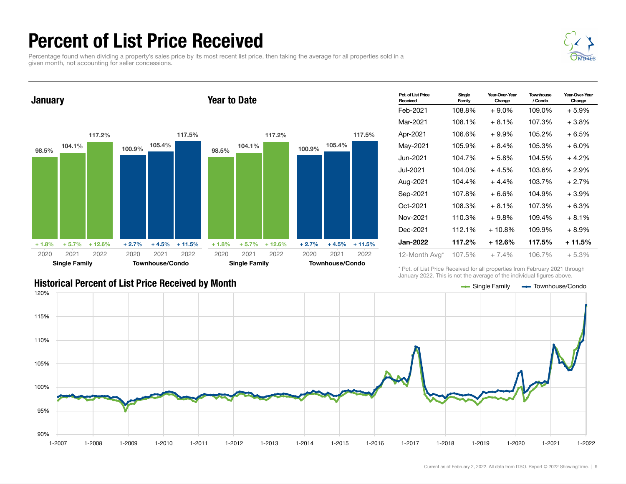### Percent of List Price Received

Percentage found when dividing a property's sales price by its most recent list price, then taking the average for all properties sold in a given month, not accounting for seller concessions.





| Pct. of List Price<br>Received | Single<br>Family | Year-Over-Year<br>Change | Townhouse<br>/ Condo | Year-Over-Year<br>Change |
|--------------------------------|------------------|--------------------------|----------------------|--------------------------|
| Feb-2021                       | 108.8%           | $+9.0\%$                 | 109.0%               | + 5.9%                   |
| Mar-2021                       | 108.1%           | $+8.1%$                  | 107.3%               | +3.8%                    |
| Apr-2021                       | 106.6%           | $+9.9\%$                 | 105.2%               | + 6.5%                   |
| May-2021                       | 105.9%           | $+8.4%$                  | 105.3%               | + 6.0%                   |
| Jun-2021.                      | 104.7%           | $+5.8\%$                 | 104.5%               | +4.2%                    |
| Jul-2021.                      | 104.0%           | $+4.5%$                  | 103.6%               | + 2.9%                   |
| Aug-2021                       | 104.4%           | $+4.4%$                  | 103.7%               | + 2.7%                   |
| Sep-2021                       | 107.8%           | $+6.6%$                  | 104.9%               | +3.9%                    |
| Oct-2021                       | 108.3%           | $+8.1%$                  | 107.3%               | + 6.3%                   |
| Nov-2021                       | 110.3%           | $+9.8%$                  | 109.4%               | + 8.1%                   |
| Dec-2021                       | 112.1%           | $+10.8\%$                | 109.9%               | + 8.9%                   |
| Jan-2022                       | 117.2%           | + 12.6%                  | 117.5%               | $+11.5%$                 |
| 12-Month Avg*                  | 107.5%           | $+7.4%$                  | 106.7%               | $+5.3%$                  |

\* Pct. of List Price Received for all properties from February 2021 through January 2022. This is not the average of the individual figures above.



#### Historical Percent of List Price Received by Month Single Family Townhouse/Condo Single Family Townhouse/Condo

Current as of February 2, 2022. All data from ITSO. Report © 2022 ShowingTime. | 9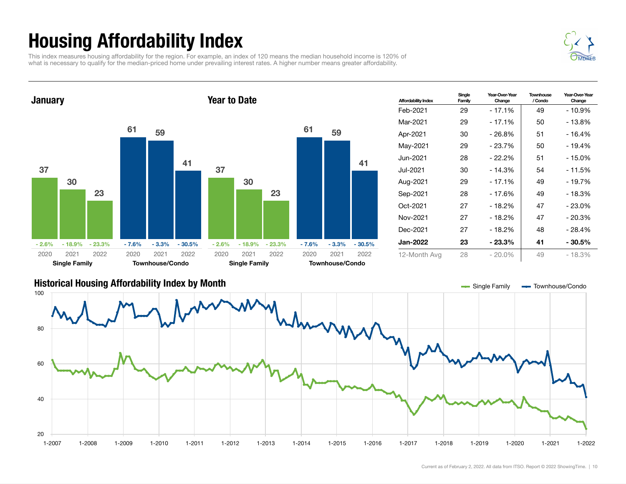## Housing Affordability Index

This index measures housing affordability for the region. For example, an index of 120 means the median household income is 120% of what is necessary to qualify for the median-priced home under prevailing interest rates. A higher number means greater affordability.



| <b>Affordability Index</b> | Single<br>Family | Year-Over-Year<br>Change | Townhouse<br>/ Condo | Year-Over-Year<br>Change |
|----------------------------|------------------|--------------------------|----------------------|--------------------------|
| Feb-2021                   | 29               | $-17.1%$                 | 49                   | - 10.9%                  |
| Mar-2021                   | 29               | - 17.1%                  | 50                   | - 13.8%                  |
| Apr-2021                   | 30               | $-26.8%$                 | 51                   | - 16.4%                  |
| May-2021                   | 29               | - 23.7%                  | 50                   | - 19.4%                  |
| Jun-2021.                  | 28               | $-22.2%$                 | 51                   | - 15.0%                  |
| Jul-2021                   | 30               | $-14.3%$                 | 54                   | - 11.5%                  |
| Aug-2021                   | 29               | - 17.1%                  | 49                   | - 19.7%                  |
| Sep-2021                   | 28               | $-17.6%$                 | 49                   | - 18.3%                  |
| Oct-2021                   | 27               | $-18.2%$                 | 47                   | $-23.0%$                 |
| Nov-2021                   | 27               | - 18.2%                  | 47                   | $-20.3%$                 |
| Dec-2021                   | 27               | $-18.2%$                 | 48                   | - 28.4%                  |
| Jan-2022                   | 23               | - 23.3%                  | 41                   | $-30.5%$                 |
| 12-Month Avg               | 28               | $-20.0\%$                | 49                   | - 18.3%                  |

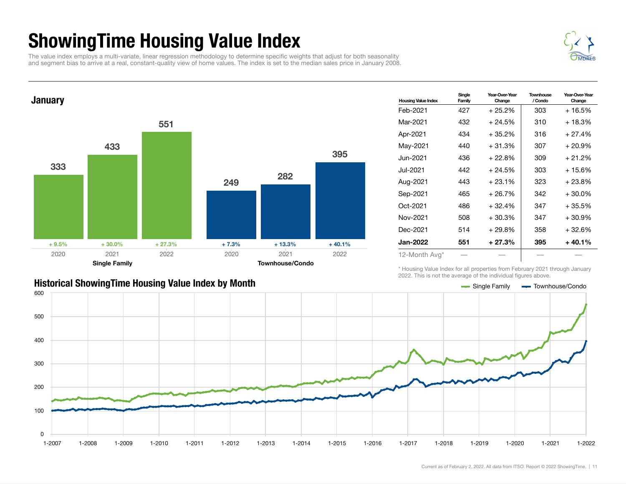### ShowingTime Housing Value Index

The value index employs a multi-variate, linear regression methodology to determine specific weights that adjust for both seasonality and segment bias to arrive at a real, constant-quality view of home values. The index is set to the median sales price in January 2008.



#### **January** 333 433 551  $+9.5\%$   $+30.0\%$   $+27.3\%$ 249 282 395  $+ 7.3\% + 13.3\% + 40.1\%$ 2020 Single Family 2021 2022 2020 Townhouse/Condo 2021 2022

| <b>Housing Value Index</b> | Single<br>Family | Year-Over-Year<br>Change | Townhouse<br>/ Condo | Year-Over-Year<br>Change |
|----------------------------|------------------|--------------------------|----------------------|--------------------------|
| Feb-2021                   | 427              | $+25.2%$                 | 303                  | + 16.5%                  |
| Mar-2021                   | 432              | $+24.5%$                 | 310                  | + 18.3%                  |
| Apr-2021                   | 434              | $+35.2%$                 | 316                  | $+27.4%$                 |
| May-2021                   | 440              | $+31.3%$                 | 307                  | + 20.9%                  |
| Jun-2021.                  | 436              | $+22.8%$                 | 309                  | $+21.2%$                 |
| Jul-2021.                  | 442              | $+24.5%$                 | 303                  | $+15.6%$                 |
| Aug-2021                   | 443              | $+23.1%$                 | 323                  | + 23.8%                  |
| Sep-2021                   | 465              | $+26.7%$                 | 342                  | $+30.0%$                 |
| Oct-2021                   | 486              | $+32.4%$                 | 347                  | $+35.5%$                 |
| Nov-2021                   | 508              | $+30.3%$                 | 347                  | + 30.9%                  |
| Dec-2021                   | 514              | $+29.8%$                 | 358                  | + 32.6%                  |
| Jan-2022                   | 551              | $+27.3%$                 | 395                  | + 40.1%                  |
| 12-Month Avg*              |                  |                          |                      |                          |

\* Housing Value Index for all properties from February 2021 through January 2022. This is not the average of the individual figures above.



#### Historical ShowingTime Housing Value Index by Month Single The Single Family Townhouse/Condo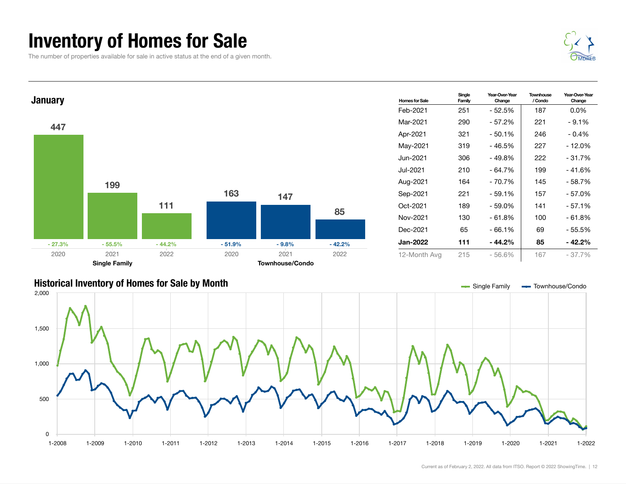### Inventory of Homes for Sale

The number of properties available for sale in active status at the end of a given month.





| <b>Homes for Sale</b> | Single<br>Family | Year-Over-Year<br>Change | Townhouse<br>/ Condo | Year-Over-Year<br>Change |
|-----------------------|------------------|--------------------------|----------------------|--------------------------|
| Feb-2021              | 251              | - 52.5%                  | 187                  | $0.0\%$                  |
| Mar-2021              | 290              | - 57.2%                  | 221                  | $-9.1%$                  |
| Apr-2021              | 321              | $-50.1%$                 | 246                  | $-0.4%$                  |
| May-2021              | 319              | - 46.5%                  | 227                  | - 12.0%                  |
| Jun-2021 <b>.</b>     | 306              | - 49.8%                  | 222                  | $-31.7%$                 |
| Jul-2021              | 210              | - 64.7%                  | 199                  | - 41.6%                  |
| Aug-2021              | 164              | - 70.7%                  | 145                  | - 58.7%                  |
| Sep-2021              | 221              | $-59.1%$                 | 157                  | - 57.0%                  |
| Oct-2021              | 189              | - 59.0%                  | 141                  | $-57.1%$                 |
| Nov-2021              | 130              | - 61.8%                  | 100                  | - 61.8%                  |
| Dec-2021              | 65               | $-66.1%$                 | 69                   | $-55.5%$                 |
| Jan-2022              | 111              | - 44.2%                  | 85                   | - 42.2%                  |
| 12-Month Avg          | 215              | $-56.6%$                 | 167                  | $-37.7\%$                |

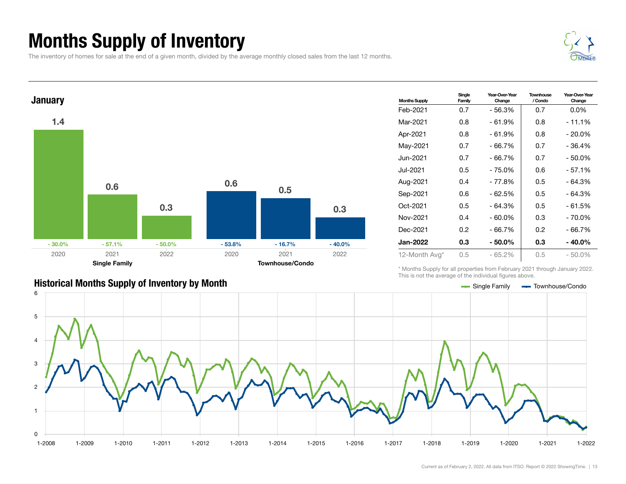## Months Supply of Inventory

The inventory of homes for sale at the end of a given month, divided by the average monthly closed sales from the last 12 months.





| <b>Months Supply</b> | Single<br>Family | Year-Over-Year<br>Change | Townhouse<br>/ Condo | Year-Over-Year<br>Change |
|----------------------|------------------|--------------------------|----------------------|--------------------------|
| Feb-2021             | 0.7              | - 56.3%                  | 0.7                  | $0.0\%$                  |
| Mar-2021             | 0.8              | - 61.9%                  | 0.8                  | - 11.1%                  |
| Apr-2021             | 0.8              | $-61.9%$                 | 0.8                  | $-20.0\%$                |
| May-2021             | 0.7              | $-66.7%$                 | 0.7                  | - 36.4%                  |
| Jun-2021             | 0.7              | $-66.7%$                 | 0.7                  | - 50.0%                  |
| Jul-2021.            | 0.5              | $-75.0%$                 | 0.6                  | $-57.1%$                 |
| Aug-2021             | 0.4              | - 77.8%                  | 0.5                  | - 64.3%                  |
| Sep-2021             | 0.6              | - 62.5%                  | 0.5                  | - 64.3%                  |
| Oct-2021             | 0.5              | $-64.3%$                 | 0.5                  | $-61.5%$                 |
| Nov-2021             | 0.4              | $-60.0\%$                | 0.3                  | - 70.0%                  |
| Dec-2021             | 0.2              | $-66.7%$                 | 0.2                  | - 66.7%                  |
| Jan-2022             | 0.3              | - 50.0%                  | 0.3                  | - 40.0%                  |
| 12-Month Avg*        | 0.5              | $-65.2%$                 | 0.5                  | $-50.0\%$                |

\* Months Supply for all properties from February 2021 through January 2022. This is not the average of the individual figures above.